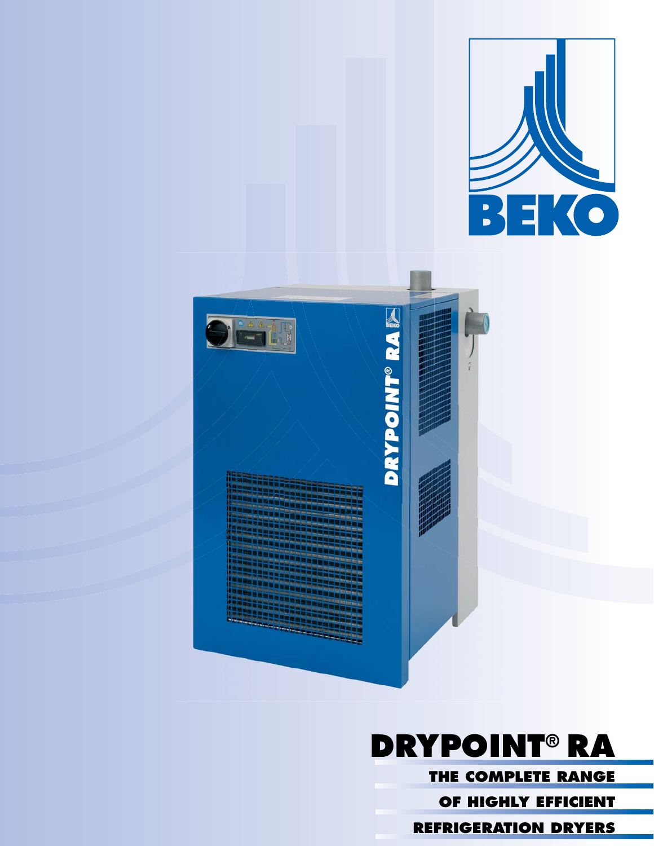



**REFRIGERATION DRYERS**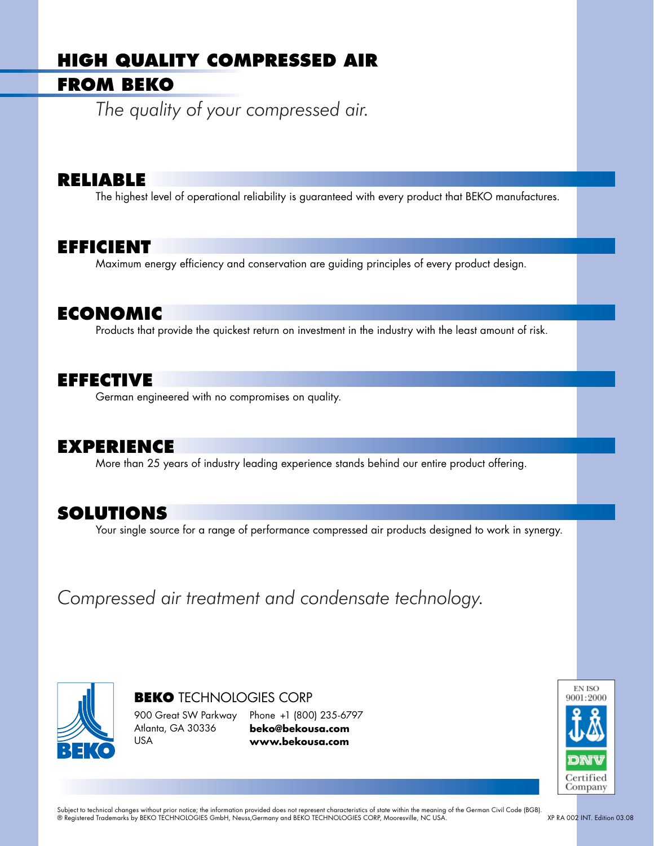# **HIGH QUALITY COMPRESSED AIR**

# **FROM BEKO**

*The quality of your compressed air.*

### **RELIABLE**

The highest level of operational reliability is guaranteed with every product that BEKO manufactures.

## **EFFICIENT**

Maximum energy efficiency and conservation are guiding principles of every product design.

## **ECONOMIC**

Products that provide the quickest return on investment in the industry with the least amount of risk.

## **EFFECTIVE**

German engineered with no compromises on quality.

### **EXPERIENCE**

More than 25 years of industry leading experience stands behind our entire product offering.

### **SOLUTIONS**

Your single source for a range of performance compressed air products designed to work in synergy.

*Compressed air treatment and condensate technology.*



**BEKO** TECHNOLOGIES CORP 900 Great SW Parkway Atlanta, GA 30336 USA Phone +1 (800) 235-6797 **beko@bekousa.com www.bekousa.com**

**EN ISO** 9001:2000 Certified Company

Subject to technical changes without prior notice; the information provided does not represent characteristics of state within the meaning of the German Civil Code (BGB). ® Registered Trademarks by BEKO TECHNOLOGIES GmbH, Neuss,Germany and BEKO TECHNOLOGIES CORP, Mooresville, NC USA. XP RA 002 INT. Edition 03.08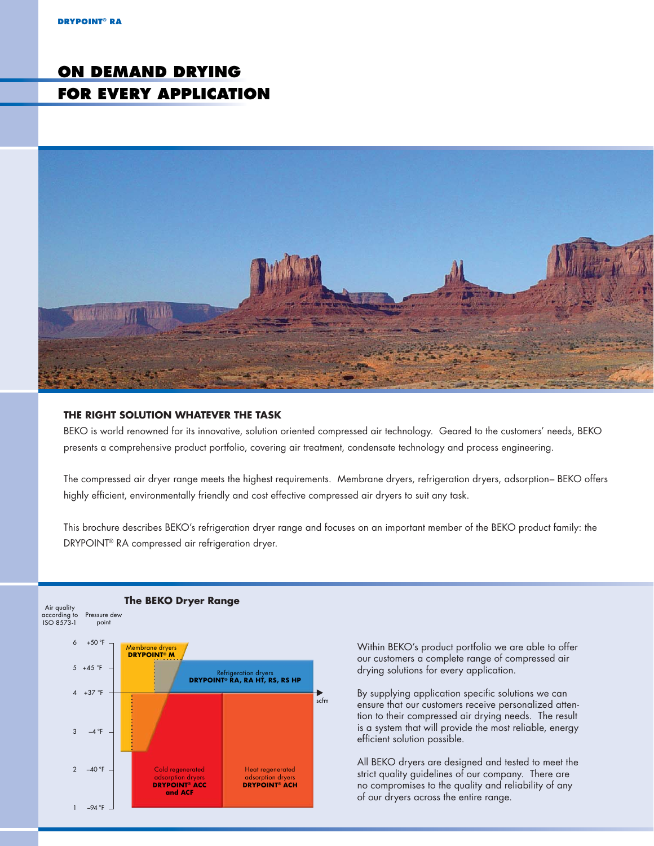# **ON DEMAND DRYING FOR EVERY APPLICATION**



#### **THE RIGHT SOLUTION WHATEVER THE TASK**

BEKO is world renowned for its innovative, solution oriented compressed air technology. Geared to the customers' needs, BEKO presents a comprehensive product portfolio, covering air treatment, condensate technology and process engineering.

The compressed air dryer range meets the highest requirements. Membrane dryers, refrigeration dryers, adsorption– BEKO offers highly efficient, environmentally friendly and cost effective compressed air dryers to suit any task.

This brochure describes BEKO's refrigeration dryer range and focuses on an important member of the BEKO product family: the DRYPOINT® RA compressed air refrigeration dryer.



Within BEKO's product portfolio we are able to offer our customers a complete range of compressed air drying solutions for every application.

By supplying application specific solutions we can ensure that our customers receive personalized attention to their compressed air drying needs. The result is a system that will provide the most reliable, energy efficient solution possible.

All BEKO dryers are designed and tested to meet the strict quality guidelines of our company. There are no compromises to the quality and reliability of any of our dryers across the entire range.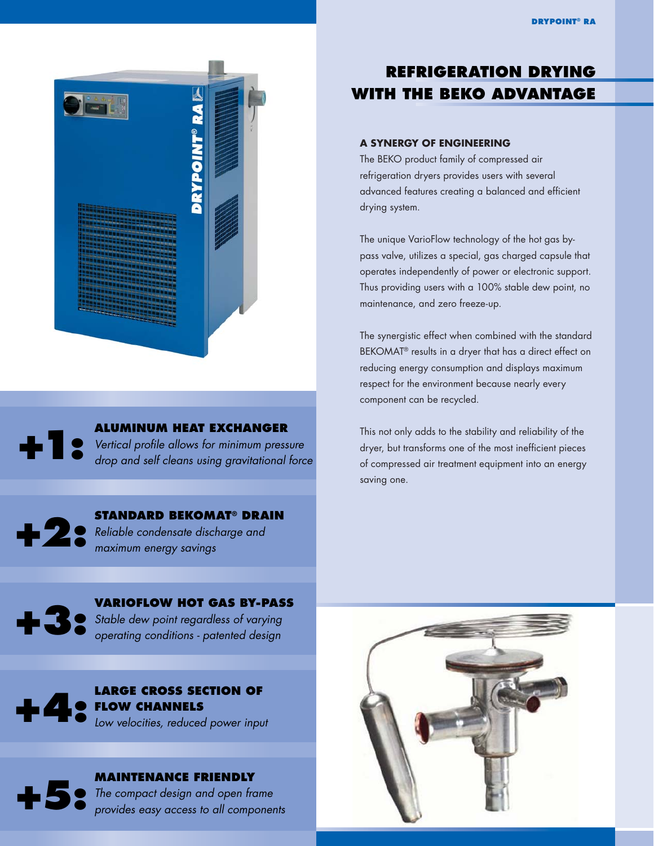

**ALUMINUM HEAT EXCHANGER**  Vertical profile allows for minimum pressure drop and self cleans using gravitational force **+1:**



### **STANDARD BEKOMAT® DRAIN**  Reliable condensate discharge and maximum energy savings



**VARIOFLOW HOT GAS BY-PASS** Stable dew point regardless of varying operating conditions - patented design





**MAINTENANCE FRIENDLY**

The compact design and open frame provides easy access to all components

## **REFRIGERATION DRYING WITH THE BEKO ADVANTAGE**

#### **A SYNERGY OF ENGINEERING**

The BEKO product family of compressed air refrigeration dryers provides users with several advanced features creating a balanced and efficient drying system.

The unique VarioFlow technology of the hot gas bypass valve, utilizes a special, gas charged capsule that operates independently of power or electronic support. Thus providing users with a 100% stable dew point, no maintenance, and zero freeze-up.

The synergistic effect when combined with the standard BEKOMAT® results in a dryer that has a direct effect on reducing energy consumption and displays maximum respect for the environment because nearly every component can be recycled.

This not only adds to the stability and reliability of the dryer, but transforms one of the most inefficient pieces of compressed air treatment equipment into an energy saving one.

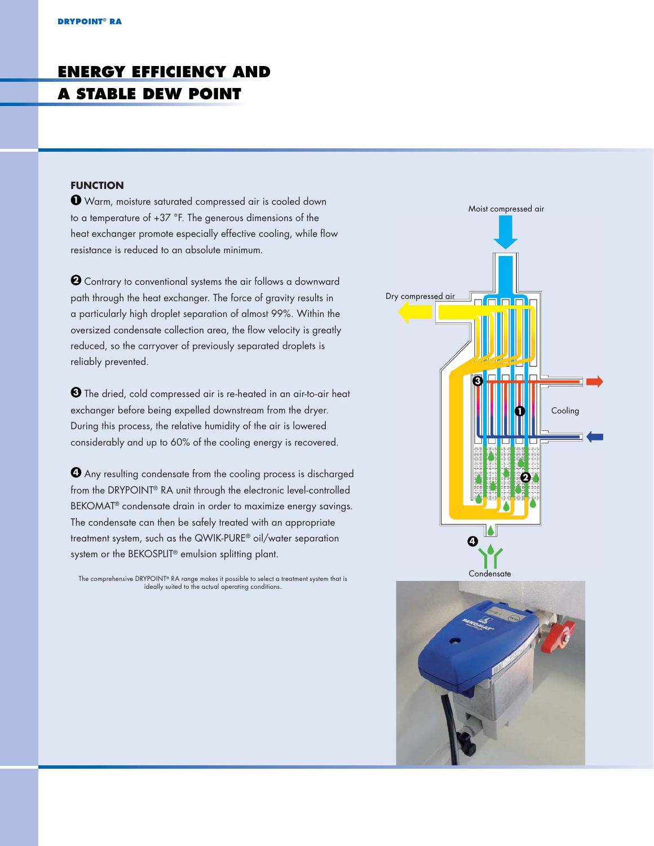# **ENERGY EFFICIENCY AND A STABLE DEW POINT**

#### **FUNCTION**

**1** Warm, moisture saturated compressed air is cooled down to a temperature of +37 °F. The generous dimensions of the heat exchanger promote especially effective cooling, while flow resistance is reduced to an absolute minimum.

**2** Contrary to conventional systems the air follows a downward path through the heat exchanger. The force of gravity results in a particularly high droplet separation of almost 99%. Within the oversized condensate collection area, the flow velocity is greatly reduced, so the carryover of previously separated droplets is reliably prevented.

**3** The dried, cold compressed air is re-heated in an air-to-air heat exchanger before being expelled downstream from the dryer. During this process, the relative humidity of the air is lowered considerably and up to 60% of the cooling energy is recovered.

**4** Any resulting condensate from the cooling process is discharged from the DRYPOINT® RA unit through the electronic level-controlled BEKOMAT® condensate drain in order to maximize energy savings. The condensate can then be safely treated with an appropriate treatment system, such as the QWIK-PURE® oil/water separation system or the BEKOSPLIT® emulsion splitting plant.

The comprehensive DRYPOINT® RA range makes it possible to select a treatment system that is ideally suited to the actual operating conditions.

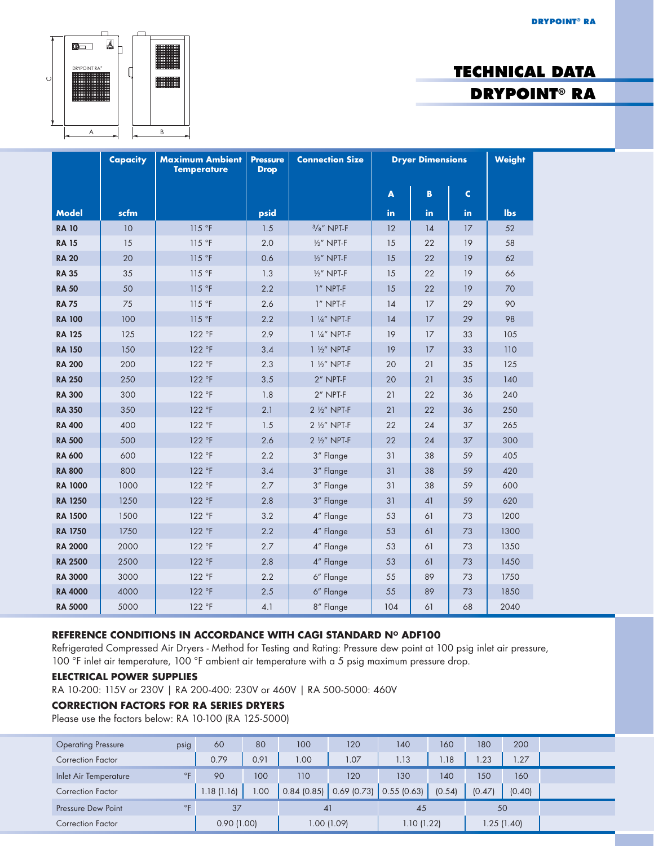**DRYPOINT® RA**



# **TECHNICAL DATA DRYPOINT® RA**

|                | Capacity | <b>Maximum Ambient</b><br><b>Temperature</b> | <b>Pressure</b><br><b>Drop</b> | <b>Connection Size</b> | <b>Dryer Dimensions</b> |     |             | <b>Weight</b> |
|----------------|----------|----------------------------------------------|--------------------------------|------------------------|-------------------------|-----|-------------|---------------|
|                |          |                                              |                                |                        | A                       | B   | $\mathbf c$ |               |
| <b>Model</b>   | scfm     |                                              | psid                           |                        | in.                     | in. | in.         | lbs           |
| <b>RA 10</b>   | 10       | 115 °F                                       | 1.5                            | $3/s''$ NPT-F          | 12                      | 14  | 17          | 52            |
| <b>RA 15</b>   | 15       | 115 °F                                       | 2.0                            | $\frac{1}{2}$ " NPT-F  | 15                      | 22  | 19          | 58            |
| <b>RA 20</b>   | 20       | 115°F                                        | 0.6                            | $\frac{1}{2}$ " NPT-F  | 15                      | 22  | 19          | 62            |
| <b>RA 35</b>   | 35       | 115 °F                                       | 1.3                            | $\frac{1}{2}$ " NPT-F  | 15                      | 22  | 19          | 66            |
| <b>RA 50</b>   | 50       | 115 °F                                       | 2.2                            | 1" NPT-F               | 15                      | 22  | 19          | 70            |
| <b>RA 75</b>   | 75       | 115 °F                                       | 2.6                            | 1" NPT-F               | 14                      | 17  | 29          | 90            |
| <b>RA 100</b>  | 100      | 115 °F                                       | 2.2                            | 1 1/4" NPT-F           | 14                      | 17  | 29          | 98            |
| <b>RA 125</b>  | 125      | 122 °F                                       | 2.9                            | 1 1/4" NPT-F           | 19                      | 17  | 33          | 105           |
| <b>RA 150</b>  | 150      | 122 °F                                       | 3.4                            | 1 1/2" NPT-F           | 19                      | 17  | 33          | 110           |
| <b>RA 200</b>  | 200      | 122 °F                                       | 2.3                            | 1 1/2" NPT-F           | 20                      | 21  | 35          | 125           |
| <b>RA 250</b>  | 250      | 122 °F                                       | 3.5                            | $2''$ NPT-F            | 20                      | 21  | 35          | 140           |
| <b>RA 300</b>  | 300      | 122 °F                                       | 1.8                            | 2" NPT-F               | 21                      | 22  | 36          | 240           |
| <b>RA 350</b>  | 350      | 122 °F                                       | 2.1                            | 2 1/2" NPT-F           | 21                      | 22  | 36          | 250           |
| <b>RA 400</b>  | 400      | 122 °F                                       | 1.5                            | 2 1/2" NPT-F           | 22                      | 24  | 37          | 265           |
| <b>RA 500</b>  | 500      | 122 °F                                       | 2.6                            | 2 1/2" NPT-F           | 22                      | 24  | 37          | 300           |
| <b>RA 600</b>  | 600      | 122 °F                                       | 2.2                            | 3" Flange              | 31                      | 38  | 59          | 405           |
| <b>RA 800</b>  | 800      | 122 °F                                       | 3.4                            | 3" Flange              | 31                      | 38  | 59          | 420           |
| <b>RA 1000</b> | 1000     | 122 °F                                       | 2.7                            | 3" Flange              | 31                      | 38  | 59          | 600           |
| <b>RA 1250</b> | 1250     | 122 °F                                       | 2.8                            | 3" Flange              | 31                      | 41  | 59          | 620           |
| <b>RA 1500</b> | 1500     | 122 °F                                       | 3.2                            | 4" Flange              | 53                      | 61  | 73          | 1200          |
| <b>RA 1750</b> | 1750     | 122 °F                                       | 2.2                            | 4" Flange              | 53                      | 61  | 73          | 1300          |
| <b>RA 2000</b> | 2000     | 122 °F                                       | 2.7                            | 4" Flange              | 53                      | 61  | 73          | 1350          |
| <b>RA 2500</b> | 2500     | 122 °F                                       | 2.8                            | 4" Flange              | 53                      | 61  | 73          | 1450          |
| <b>RA 3000</b> | 3000     | 122 °F                                       | 2.2                            | 6" Flange              | 55                      | 89  | 73          | 1750          |
| <b>RA 4000</b> | 4000     | 122 °F                                       | 2.5                            | 6" Flange              | 55                      | 89  | 73          | 1850          |
| <b>RA 5000</b> | 5000     | 122 °F                                       | 4.1                            | 8" Flange              | 104                     | 61  | 68          | 2040          |

#### REFERENCE CONDITIONS IN ACCORDANCE WITH CAGI STANDARD N° ADF100

Refrigerated Compressed Air Dryers - Method for Testing and Rating: Pressure dew point at 100 psig inlet air pressure, 100 °F inlet air temperature, 100 °F ambient air temperature with a 5 psig maximum pressure drop.

#### **ELECTRICAL POWER SUPPLIES**

RA 10-200: 115V or 230V | RA 200-400: 230V or 460V | RA 500-5000: 460V

#### **CORRECTION FACTORS FOR RA SERIES DRYERS**

Please use the factors below: RA 10-100 (RA 125-5000)

| <b>Operating Pressure</b> | psig         | 60         | 80   | 100         | 120           | 140        | 160    | 180         | 200    |  |
|---------------------------|--------------|------------|------|-------------|---------------|------------|--------|-------------|--------|--|
| <b>Correction Factor</b>  |              | 0.79       | 0.91 | 00.1        | 1.07          | 1.13       | .18    | 1.23        | 1.27   |  |
| Inlet Air Temperature     | $^{\circ}$ F | 90         | 100  | 110         | 120           | 130        | 140    | 150         | 160    |  |
| <b>Correction Factor</b>  |              | 1.18(1.16) | 1.00 | 0.84(0.85)  | $0.69$ (0.73) | 0.55(0.63) | (0.54) | (0.47)      | (0.40) |  |
| Pressure Dew Point        | $^{\circ}$ F | 37         |      | 41          |               | 45         |        | 50          |        |  |
| <b>Correction Factor</b>  |              | 0.90(1.00) |      | 1.00 (1.09) |               | 1.10(1.22) |        | 1.25 (1.40) |        |  |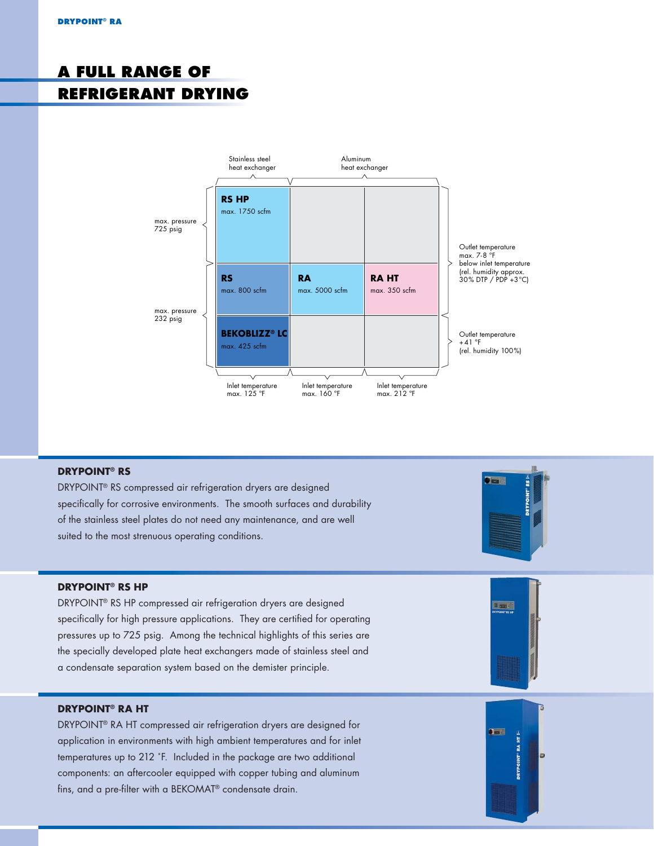# **A FULL RANGE OF REFRIGERANT DRYING**



#### **DRYPOINT® RS**

DRYPOINT® RS compressed air refrigeration dryers are designed specifically for corrosive environments. The smooth surfaces and durability of the stainless steel plates do not need any maintenance, and are well suited to the most strenuous operating conditions.



#### **DRYPOINT® RS HP**

DRYPOINT® RS HP compressed air refrigeration dryers are designed specifically for high pressure applications. They are certified for operating pressures up to 725 psig. Among the technical highlights of this series are the specially developed plate heat exchangers made of stainless steel and a condensate separation system based on the demister principle.

#### **DRYPOINT® RA HT**

DRYPOINT® RA HT compressed air refrigeration dryers are designed for application in environments with high ambient temperatures and for inlet temperatures up to 212 ˚F. Included in the package are two additional components: an aftercooler equipped with copper tubing and aluminum fins, and a pre-filter with a BEKOMAT<sup>®</sup> condensate drain.